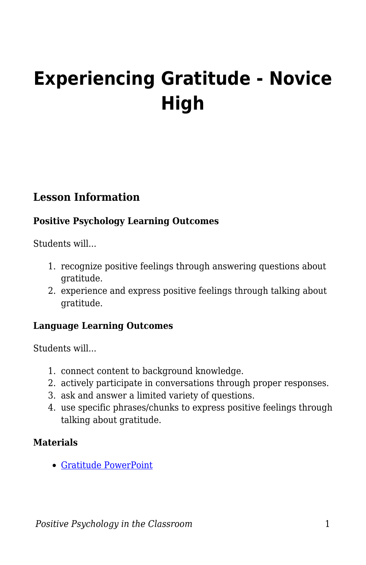# **Experiencing Gratitude - Novice High**

## **Lesson Information**

#### **Positive Psychology Learning Outcomes**

Students will...

- 1. recognize positive feelings through answering questions about gratitude.
- 2. experience and express positive feelings through talking about gratitude.

#### **Language Learning Outcomes**

Students will...

- 1. connect content to background knowledge.
- 2. actively participate in conversations through proper responses.
- 3. ask and answer a limited variety of questions.
- 4. use specific phrases/chunks to express positive feelings through talking about gratitude.

#### **Materials**

[Gratitude PowerPoint](https://drive.google.com/file/d/1Sx2KcaWS2WWKXAX3UleJOF9YKg2FrByI/view?usp=sharing)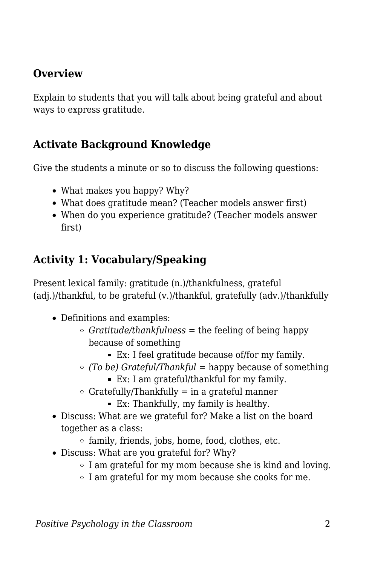## **Overview**

Explain to students that you will talk about being grateful and about ways to express gratitude.

## **Activate Background Knowledge**

Give the students a minute or so to discuss the following questions:

- What makes you happy? Why?
- What does gratitude mean? (Teacher models answer first)
- When do you experience gratitude? (Teacher models answer first)

# **Activity 1: Vocabulary/Speaking**

Present lexical family: gratitude (n.)/thankfulness, grateful (adj.)/thankful, to be grateful (v.)/thankful, gratefully (adv.)/thankfully

- Definitions and examples:
	- *Gratitude/thankfulness* = the feeling of being happy because of something
		- Ex: I feel gratitude because of/for my family.
	- *(To be) Grateful/Thankful* = happy because of something
		- Ex: I am grateful/thankful for my family.
	- $\circ$  Gratefully/Thankfully = in a grateful manner
		- Ex: Thankfully, my family is healthy.
- Discuss: What are we grateful for? Make a list on the board together as a class:
	- $\circ$  family, friends, jobs, home, food, clothes, etc.
- Discuss: What are you grateful for? Why?
	- $\circ$  I am grateful for my mom because she is kind and loving.
	- $\circ$  I am grateful for my mom because she cooks for me.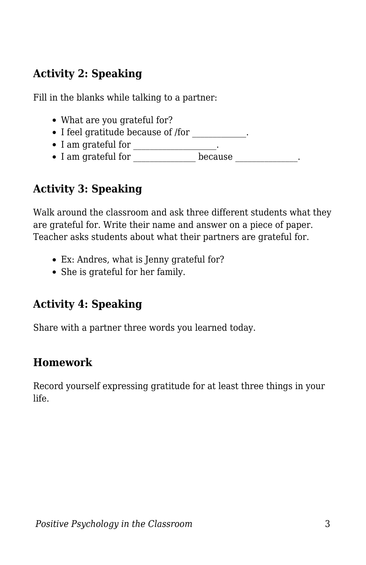# **Activity 2: Speaking**

Fill in the blanks while talking to a partner:

- What are you grateful for?
- I feel gratitude because of /for \_\_\_\_\_\_\_\_\_\_\_\_\_.
- $\bullet$  I am grateful for \_\_\_\_\_\_\_\_\_\_\_\_\_\_\_.
- I am grateful for because the basic section of  $\overline{a}$

# **Activity 3: Speaking**

Walk around the classroom and ask three different students what they are grateful for. Write their name and answer on a piece of paper. Teacher asks students about what their partners are grateful for.

- Ex: Andres, what is Jenny grateful for?
- She is grateful for her family.

# **Activity 4: Speaking**

Share with a partner three words you learned today.

# **Homework**

Record yourself expressing gratitude for at least three things in your life.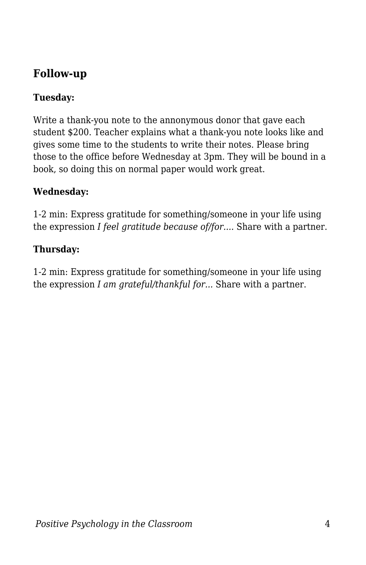## **Follow-up**

### **Tuesday:**

Write a thank-you note to the annonymous donor that gave each student \$200. Teacher explains what a thank-you note looks like and gives some time to the students to write their notes. Please bring those to the office before Wednesday at 3pm. They will be bound in a book, so doing this on normal paper would work great.

#### **Wednesday:**

1-2 min: Express gratitude for something/someone in your life using the expression *I feel gratitude because of/for....* Share with a partner.

#### **Thursday:**

1-2 min: Express gratitude for something/someone in your life using the expression *I am grateful/thankful for...* Share with a partner.